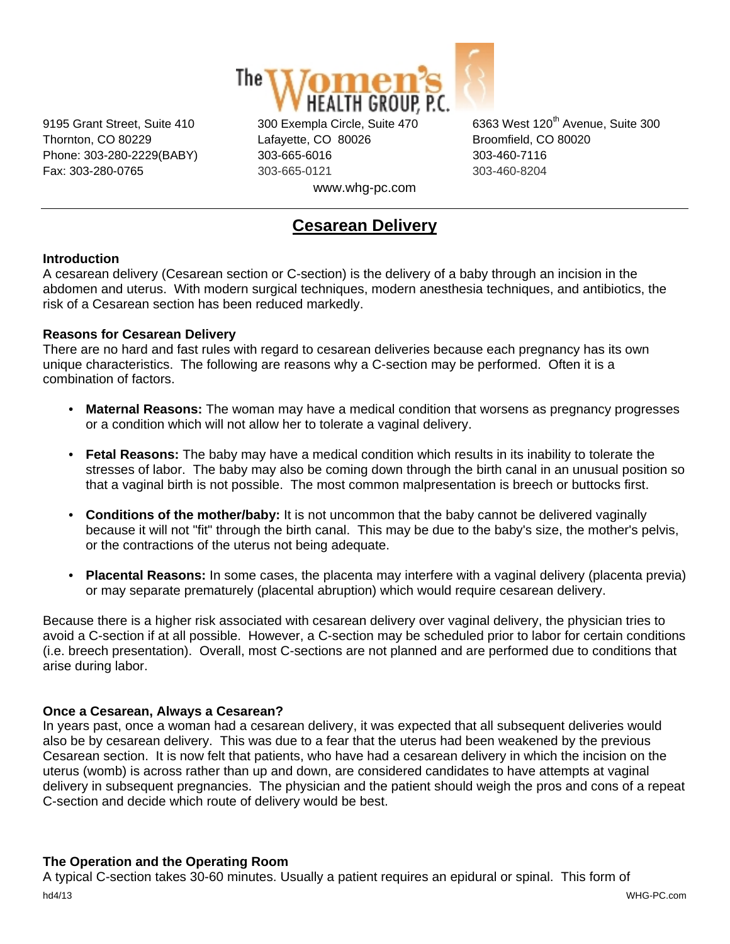

Thornton, CO 80229 Lafayette, CO 80026 Broomfield, CO 80020 Phone: 303-280-2229(BABY) 303-665-6016 303-460-7116 Fax: 303-280-0765 303-665-0121 303-460-8204 www.whg-pc.com

9195 Grant Street, Suite 410 300 Exempla Circle, Suite 470 6363 West 120<sup>th</sup> Avenue, Suite 300

# **Cesarean Delivery**

# **Introduction**

A cesarean delivery (Cesarean section or C-section) is the delivery of a baby through an incision in the abdomen and uterus. With modern surgical techniques, modern anesthesia techniques, and antibiotics, the risk of a Cesarean section has been reduced markedly.

## **Reasons for Cesarean Delivery**

There are no hard and fast rules with regard to cesarean deliveries because each pregnancy has its own unique characteristics. The following are reasons why a C-section may be performed. Often it is a combination of factors.

- **Maternal Reasons:** The woman may have a medical condition that worsens as pregnancy progresses or a condition which will not allow her to tolerate a vaginal delivery.
- **Fetal Reasons:** The baby may have a medical condition which results in its inability to tolerate the stresses of labor. The baby may also be coming down through the birth canal in an unusual position so that a vaginal birth is not possible. The most common malpresentation is breech or buttocks first.
- **Conditions of the mother/baby:** It is not uncommon that the baby cannot be delivered vaginally because it will not "fit" through the birth canal. This may be due to the baby's size, the mother's pelvis, or the contractions of the uterus not being adequate.
- **Placental Reasons:** In some cases, the placenta may interfere with a vaginal delivery (placenta previa) or may separate prematurely (placental abruption) which would require cesarean delivery.

Because there is a higher risk associated with cesarean delivery over vaginal delivery, the physician tries to avoid a C-section if at all possible. However, a C-section may be scheduled prior to labor for certain conditions (i.e. breech presentation). Overall, most C-sections are not planned and are performed due to conditions that arise during labor.

# **Once a Cesarean, Always a Cesarean?**

In years past, once a woman had a cesarean delivery, it was expected that all subsequent deliveries would also be by cesarean delivery. This was due to a fear that the uterus had been weakened by the previous Cesarean section. It is now felt that patients, who have had a cesarean delivery in which the incision on the uterus (womb) is across rather than up and down, are considered candidates to have attempts at vaginal delivery in subsequent pregnancies. The physician and the patient should weigh the pros and cons of a repeat C-section and decide which route of delivery would be best.

## **The Operation and the Operating Room**

A typical C-section takes 30-60 minutes. Usually a patient requires an epidural or spinal. This form of